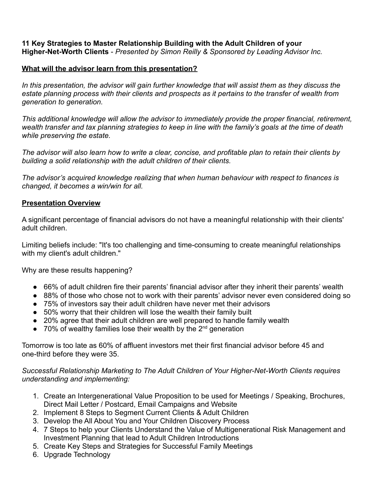## **11 Key Strategies to Master Relationship Building with the Adult Children of your Higher-Net-Worth Clients** - *Presented by Simon Reilly & Sponsored by Leading Advisor Inc.*

## **What will the advisor learn from this presentation?**

*In this presentation, the advisor will gain further knowledge that will assist them as they discuss the estate planning process with their clients and prospects as it pertains to the transfer of wealth from generation to generation.*

*This additional knowledge will allow the advisor to immediately provide the proper financial, retirement, wealth transfer and tax planning strategies to keep in line with the family's goals at the time of death while preserving the estate.*

*The advisor will also learn how to write a clear, concise, and profitable plan to retain their clients by building a solid relationship with the adult children of their clients.*

*The advisor's acquired knowledge realizing that when human behaviour with respect to finances is changed, it becomes a win/win for all.*

## **Presentation Overview**

A significant percentage of financial advisors do not have a meaningful relationship with their clients' adult children.

Limiting beliefs include: "It's too challenging and time-consuming to create meaningful relationships with my client's adult children."

Why are these results happening?

- 66% of adult children fire their parents' financial advisor after they inherit their parents' wealth
- 88% of those who chose not to work with their parents' advisor never even considered doing so
- 75% of investors say their adult children have never met their advisors
- 50% worry that their children will lose the wealth their family built
- 20% agree that their adult children are well prepared to handle family wealth
- $\bullet$  70% of wealthy families lose their wealth by the 2<sup>nd</sup> generation

Tomorrow is too late as 60% of affluent investors met their first financial advisor before 45 and one-third before they were 35.

## *Successful Relationship Marketing to The Adult Children of Your Higher-Net-Worth Clients requires understanding and implementing:*

- 1. Create an Intergenerational Value Proposition to be used for Meetings / Speaking, Brochures, Direct Mail Letter / Postcard, Email Campaigns and Website
- 2. Implement 8 Steps to Segment Current Clients & Adult Children
- 3. Develop the All About You and Your Children Discovery Process
- 4. 7 Steps to help your Clients Understand the Value of Multigenerational Risk Management and Investment Planning that lead to Adult Children Introductions
- 5. Create Key Steps and Strategies for Successful Family Meetings
- 6. Upgrade Technology